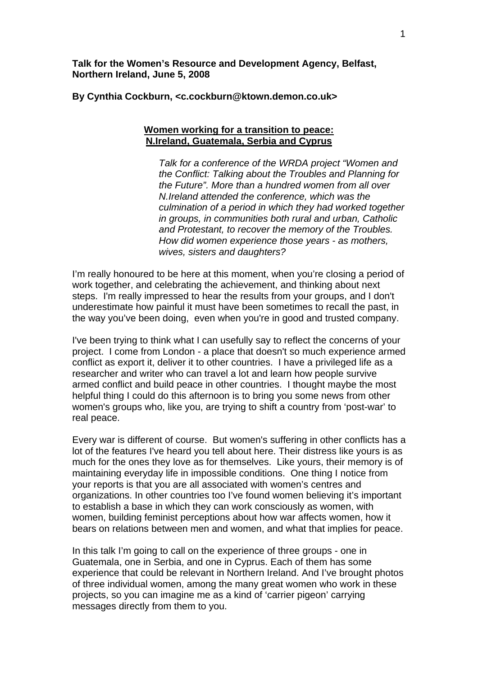**Talk for the Women's Resource and Development Agency, Belfast, Northern Ireland, June 5, 2008** 

**By Cynthia Cockburn, <c.cockburn@ktown.demon.co.uk>** 

## **Women working for a transition to peace: N.Ireland, Guatemala, Serbia and Cyprus**

*Talk for a conference of the WRDA project "Women and the Conflict: Talking about the Troubles and Planning for the Future". More than a hundred women from all over N.Ireland attended the conference, which was the culmination of a period in which they had worked together in groups, in communities both rural and urban, Catholic and Protestant, to recover the memory of the Troubles. How did women experience those years - as mothers, wives, sisters and daughters?* 

I'm really honoured to be here at this moment, when you're closing a period of work together, and celebrating the achievement, and thinking about next steps. I'm really impressed to hear the results from your groups, and I don't underestimate how painful it must have been sometimes to recall the past, in the way you've been doing, even when you're in good and trusted company.

I've been trying to think what I can usefully say to reflect the concerns of your project. I come from London - a place that doesn't so much experience armed conflict as export it, deliver it to other countries. I have a privileged life as a researcher and writer who can travel a lot and learn how people survive armed conflict and build peace in other countries. I thought maybe the most helpful thing I could do this afternoon is to bring you some news from other women's groups who, like you, are trying to shift a country from 'post-war' to real peace.

Every war is different of course. But women's suffering in other conflicts has a lot of the features I've heard you tell about here. Their distress like yours is as much for the ones they love as for themselves. Like yours, their memory is of maintaining everyday life in impossible conditions. One thing I notice from your reports is that you are all associated with women's centres and organizations. In other countries too I've found women believing it's important to establish a base in which they can work consciously as women, with women, building feminist perceptions about how war affects women, how it bears on relations between men and women, and what that implies for peace.

In this talk I'm going to call on the experience of three groups - one in Guatemala, one in Serbia, and one in Cyprus. Each of them has some experience that could be relevant in Northern Ireland. And I've brought photos of three individual women, among the many great women who work in these projects, so you can imagine me as a kind of 'carrier pigeon' carrying messages directly from them to you.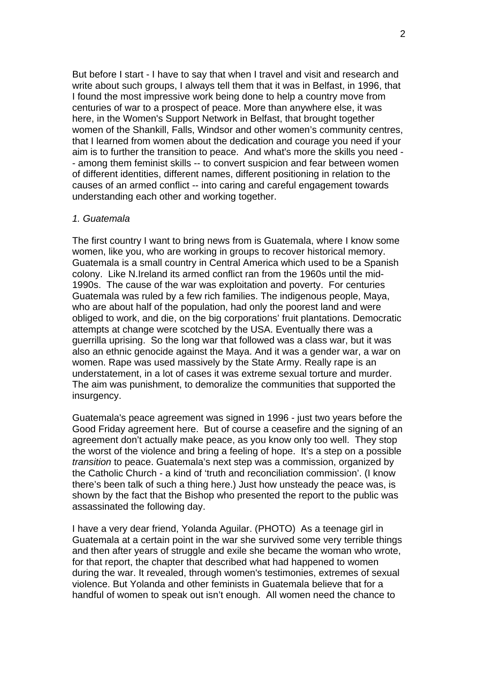But before I start - I have to say that when I travel and visit and research and write about such groups, I always tell them that it was in Belfast, in 1996, that I found the most impressive work being done to help a country move from centuries of war to a prospect of peace. More than anywhere else, it was here, in the Women's Support Network in Belfast, that brought together women of the Shankill, Falls, Windsor and other women's community centres, that I learned from women about the dedication and courage you need if your aim is to further the transition to peace. And what's more the skills you need - - among them feminist skills -- to convert suspicion and fear between women of different identities, different names, different positioning in relation to the causes of an armed conflict -- into caring and careful engagement towards understanding each other and working together.

## *1. Guatemala*

The first country I want to bring news from is Guatemala, where I know some women, like you, who are working in groups to recover historical memory. Guatemala is a small country in Central America which used to be a Spanish colony. Like N.Ireland its armed conflict ran from the 1960s until the mid-1990s. The cause of the war was exploitation and poverty. For centuries Guatemala was ruled by a few rich families. The indigenous people, Maya, who are about half of the population, had only the poorest land and were obliged to work, and die, on the big corporations' fruit plantations. Democratic attempts at change were scotched by the USA. Eventually there was a guerrilla uprising. So the long war that followed was a class war, but it was also an ethnic genocide against the Maya. And it was a gender war, a war on women. Rape was used massively by the State Army. Really rape is an understatement, in a lot of cases it was extreme sexual torture and murder. The aim was punishment, to demoralize the communities that supported the insurgency.

Guatemala's peace agreement was signed in 1996 - just two years before the Good Friday agreement here. But of course a ceasefire and the signing of an agreement don't actually make peace, as you know only too well. They stop the worst of the violence and bring a feeling of hope. It's a step on a possible *transition* to peace. Guatemala's next step was a commission, organized by the Catholic Church - a kind of 'truth and reconciliation commission'. (I know there's been talk of such a thing here.) Just how unsteady the peace was, is shown by the fact that the Bishop who presented the report to the public was assassinated the following day.

I have a very dear friend, Yolanda Aguilar. (PHOTO) As a teenage girl in Guatemala at a certain point in the war she survived some very terrible things and then after years of struggle and exile she became the woman who wrote, for that report, the chapter that described what had happened to women during the war. It revealed, through women's testimonies, extremes of sexual violence. But Yolanda and other feminists in Guatemala believe that for a handful of women to speak out isn't enough. All women need the chance to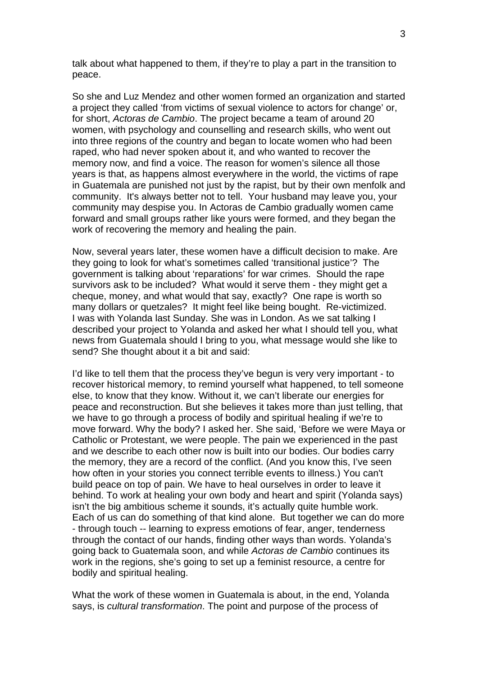talk about what happened to them, if they're to play a part in the transition to peace.

So she and Luz Mendez and other women formed an organization and started a project they called 'from victims of sexual violence to actors for change' or, for short, *Actoras de Cambio*. The project became a team of around 20 women, with psychology and counselling and research skills, who went out into three regions of the country and began to locate women who had been raped, who had never spoken about it, and who wanted to recover the memory now, and find a voice. The reason for women's silence all those years is that, as happens almost everywhere in the world, the victims of rape in Guatemala are punished not just by the rapist, but by their own menfolk and community. It's always better not to tell. Your husband may leave you, your community may despise you. In Actoras de Cambio gradually women came forward and small groups rather like yours were formed, and they began the work of recovering the memory and healing the pain.

Now, several years later, these women have a difficult decision to make. Are they going to look for what's sometimes called 'transitional justice'? The government is talking about 'reparations' for war crimes. Should the rape survivors ask to be included? What would it serve them - they might get a cheque, money, and what would that say, exactly? One rape is worth so many dollars or quetzales? It might feel like being bought. Re-victimized. I was with Yolanda last Sunday. She was in London. As we sat talking I described your project to Yolanda and asked her what I should tell you, what news from Guatemala should I bring to you, what message would she like to send? She thought about it a bit and said:

I'd like to tell them that the process they've begun is very very important - to recover historical memory, to remind yourself what happened, to tell someone else, to know that they know. Without it, we can't liberate our energies for peace and reconstruction. But she believes it takes more than just telling, that we have to go through a process of bodily and spiritual healing if we're to move forward. Why the body? I asked her. She said, 'Before we were Maya or Catholic or Protestant, we were people. The pain we experienced in the past and we describe to each other now is built into our bodies. Our bodies carry the memory, they are a record of the conflict. (And you know this, I've seen how often in your stories you connect terrible events to illness.) You can't build peace on top of pain. We have to heal ourselves in order to leave it behind. To work at healing your own body and heart and spirit (Yolanda says) isn't the big ambitious scheme it sounds, it's actually quite humble work. Each of us can do something of that kind alone. But together we can do more - through touch -- learning to express emotions of fear, anger, tenderness through the contact of our hands, finding other ways than words. Yolanda's going back to Guatemala soon, and while *Actoras de Cambio* continues its work in the regions, she's going to set up a feminist resource, a centre for bodily and spiritual healing.

What the work of these women in Guatemala is about, in the end, Yolanda says, is *cultural transformation*. The point and purpose of the process of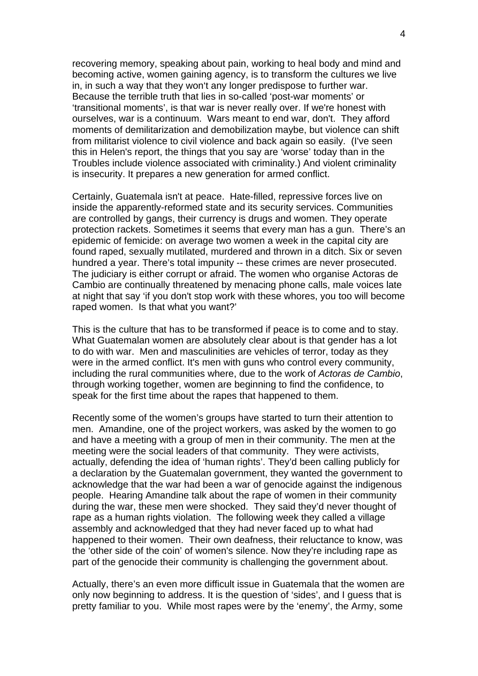recovering memory, speaking about pain, working to heal body and mind and becoming active, women gaining agency, is to transform the cultures we live in, in such a way that they won't any longer predispose to further war. Because the terrible truth that lies in so-called 'post-war moments' or 'transitional moments', is that war is never really over. If we're honest with ourselves, war is a continuum. Wars meant to end war, don't. They afford moments of demilitarization and demobilization maybe, but violence can shift from militarist violence to civil violence and back again so easily. (I've seen this in Helen's report, the things that you say are 'worse' today than in the Troubles include violence associated with criminality.) And violent criminality is insecurity. It prepares a new generation for armed conflict.

Certainly, Guatemala isn't at peace. Hate-filled, repressive forces live on inside the apparently-reformed state and its security services. Communities are controlled by gangs, their currency is drugs and women. They operate protection rackets. Sometimes it seems that every man has a gun. There's an epidemic of femicide: on average two women a week in the capital city are found raped, sexually mutilated, murdered and thrown in a ditch. Six or seven hundred a year. There's total impunity -- these crimes are never prosecuted. The judiciary is either corrupt or afraid. The women who organise Actoras de Cambio are continually threatened by menacing phone calls, male voices late at night that say 'if you don't stop work with these whores, you too will become raped women. Is that what you want?'

This is the culture that has to be transformed if peace is to come and to stay. What Guatemalan women are absolutely clear about is that gender has a lot to do with war. Men and masculinities are vehicles of terror, today as they were in the armed conflict. It's men with guns who control every community, including the rural communities where, due to the work of *Actoras de Cambio*, through working together, women are beginning to find the confidence, to speak for the first time about the rapes that happened to them.

Recently some of the women's groups have started to turn their attention to men. Amandine, one of the project workers, was asked by the women to go and have a meeting with a group of men in their community. The men at the meeting were the social leaders of that community. They were activists, actually, defending the idea of 'human rights'. They'd been calling publicly for a declaration by the Guatemalan government, they wanted the government to acknowledge that the war had been a war of genocide against the indigenous people. Hearing Amandine talk about the rape of women in their community during the war, these men were shocked. They said they'd never thought of rape as a human rights violation. The following week they called a village assembly and acknowledged that they had never faced up to what had happened to their women. Their own deafness, their reluctance to know, was the 'other side of the coin' of women's silence. Now they're including rape as part of the genocide their community is challenging the government about.

Actually, there's an even more difficult issue in Guatemala that the women are only now beginning to address. It is the question of 'sides', and I guess that is pretty familiar to you. While most rapes were by the 'enemy', the Army, some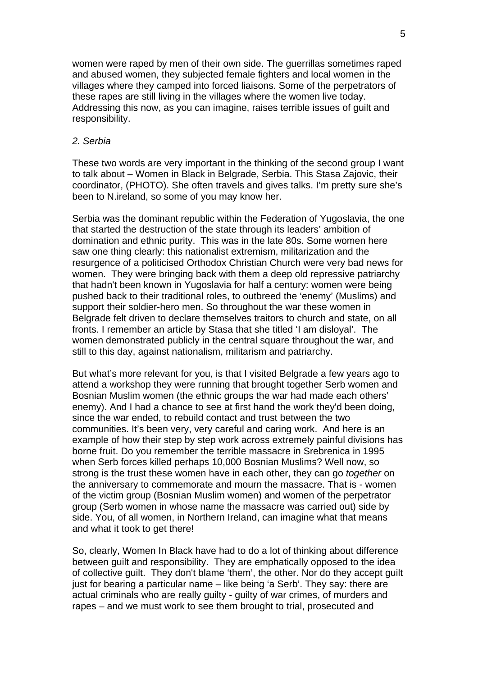women were raped by men of their own side. The guerrillas sometimes raped and abused women, they subjected female fighters and local women in the villages where they camped into forced liaisons. Some of the perpetrators of these rapes are still living in the villages where the women live today. Addressing this now, as you can imagine, raises terrible issues of guilt and responsibility.

## *2. Serbia*

These two words are very important in the thinking of the second group I want to talk about – Women in Black in Belgrade, Serbia. This Stasa Zajovic, their coordinator, (PHOTO). She often travels and gives talks. I'm pretty sure she's been to N.ireland, so some of you may know her.

Serbia was the dominant republic within the Federation of Yugoslavia, the one that started the destruction of the state through its leaders' ambition of domination and ethnic purity. This was in the late 80s. Some women here saw one thing clearly: this nationalist extremism, militarization and the resurgence of a politicised Orthodox Christian Church were very bad news for women. They were bringing back with them a deep old repressive patriarchy that hadn't been known in Yugoslavia for half a century: women were being pushed back to their traditional roles, to outbreed the 'enemy' (Muslims) and support their soldier-hero men. So throughout the war these women in Belgrade felt driven to declare themselves traitors to church and state, on all fronts. I remember an article by Stasa that she titled 'I am disloyal'. The women demonstrated publicly in the central square throughout the war, and still to this day, against nationalism, militarism and patriarchy.

But what's more relevant for you, is that I visited Belgrade a few years ago to attend a workshop they were running that brought together Serb women and Bosnian Muslim women (the ethnic groups the war had made each others' enemy). And I had a chance to see at first hand the work they'd been doing, since the war ended, to rebuild contact and trust between the two communities. It's been very, very careful and caring work. And here is an example of how their step by step work across extremely painful divisions has borne fruit. Do you remember the terrible massacre in Srebrenica in 1995 when Serb forces killed perhaps 10,000 Bosnian Muslims? Well now, so strong is the trust these women have in each other, they can go *together* on the anniversary to commemorate and mourn the massacre. That is - women of the victim group (Bosnian Muslim women) and women of the perpetrator group (Serb women in whose name the massacre was carried out) side by side. You, of all women, in Northern Ireland, can imagine what that means and what it took to get there!

So, clearly, Women In Black have had to do a lot of thinking about difference between guilt and responsibility. They are emphatically opposed to the idea of collective guilt. They don't blame 'them', the other. Nor do they accept guilt just for bearing a particular name – like being 'a Serb'. They say: there are actual criminals who are really guilty - guilty of war crimes, of murders and rapes – and we must work to see them brought to trial, prosecuted and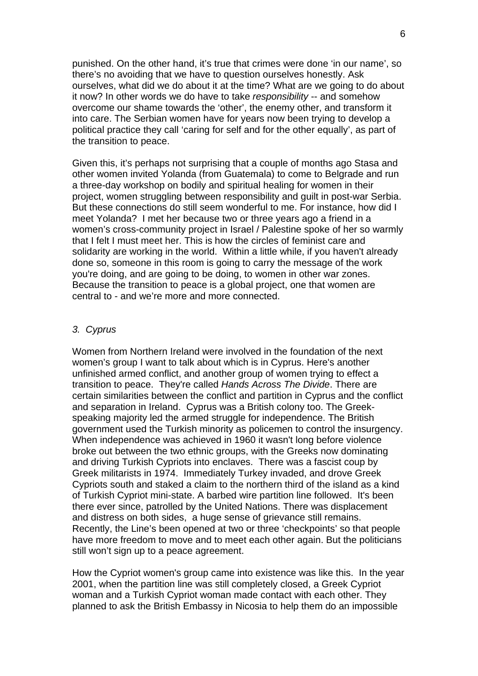punished. On the other hand, it's true that crimes were done 'in our name', so there's no avoiding that we have to question ourselves honestly. Ask ourselves, what did we do about it at the time? What are we going to do about it now? In other words we do have to take *responsibility* -- and somehow overcome our shame towards the 'other', the enemy other, and transform it into care. The Serbian women have for years now been trying to develop a political practice they call 'caring for self and for the other equally', as part of the transition to peace.

Given this, it's perhaps not surprising that a couple of months ago Stasa and other women invited Yolanda (from Guatemala) to come to Belgrade and run a three-day workshop on bodily and spiritual healing for women in their project, women struggling between responsibility and guilt in post-war Serbia. But these connections do still seem wonderful to me. For instance, how did I meet Yolanda? I met her because two or three years ago a friend in a women's cross-community project in Israel / Palestine spoke of her so warmly that I felt I must meet her. This is how the circles of feminist care and solidarity are working in the world. Within a little while, if you haven't already done so, someone in this room is going to carry the message of the work you're doing, and are going to be doing, to women in other war zones. Because the transition to peace is a global project, one that women are central to - and we're more and more connected.

## *3. Cyprus*

Women from Northern Ireland were involved in the foundation of the next women's group I want to talk about which is in Cyprus. Here's another unfinished armed conflict, and another group of women trying to effect a transition to peace. They're called *Hands Across The Divide*. There are certain similarities between the conflict and partition in Cyprus and the conflict and separation in Ireland. Cyprus was a British colony too. The Greekspeaking majority led the armed struggle for independence. The British government used the Turkish minority as policemen to control the insurgency. When independence was achieved in 1960 it wasn't long before violence broke out between the two ethnic groups, with the Greeks now dominating and driving Turkish Cypriots into enclaves. There was a fascist coup by Greek militarists in 1974. Immediately Turkey invaded, and drove Greek Cypriots south and staked a claim to the northern third of the island as a kind of Turkish Cypriot mini-state. A barbed wire partition line followed. It's been there ever since, patrolled by the United Nations. There was displacement and distress on both sides, a huge sense of grievance still remains. Recently, the Line's been opened at two or three 'checkpoints' so that people have more freedom to move and to meet each other again. But the politicians still won't sign up to a peace agreement.

How the Cypriot women's group came into existence was like this. In the year 2001, when the partition line was still completely closed, a Greek Cypriot woman and a Turkish Cypriot woman made contact with each other. They planned to ask the British Embassy in Nicosia to help them do an impossible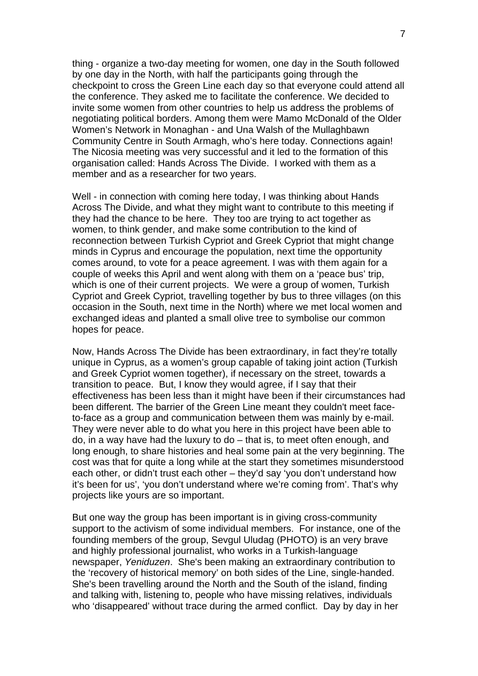thing - organize a two-day meeting for women, one day in the South followed by one day in the North, with half the participants going through the checkpoint to cross the Green Line each day so that everyone could attend all the conference. They asked me to facilitate the conference. We decided to invite some women from other countries to help us address the problems of negotiating political borders. Among them were Mamo McDonald of the Older Women's Network in Monaghan - and Una Walsh of the Mullaghbawn Community Centre in South Armagh, who's here today. Connections again! The Nicosia meeting was very successful and it led to the formation of this organisation called: Hands Across The Divide. I worked with them as a member and as a researcher for two years.

Well - in connection with coming here today, I was thinking about Hands Across The Divide, and what they might want to contribute to this meeting if they had the chance to be here. They too are trying to act together as women, to think gender, and make some contribution to the kind of reconnection between Turkish Cypriot and Greek Cypriot that might change minds in Cyprus and encourage the population, next time the opportunity comes around, to vote for a peace agreement. I was with them again for a couple of weeks this April and went along with them on a 'peace bus' trip, which is one of their current projects. We were a group of women, Turkish Cypriot and Greek Cypriot, travelling together by bus to three villages (on this occasion in the South, next time in the North) where we met local women and exchanged ideas and planted a small olive tree to symbolise our common hopes for peace.

Now, Hands Across The Divide has been extraordinary, in fact they're totally unique in Cyprus, as a women's group capable of taking joint action (Turkish and Greek Cypriot women together), if necessary on the street, towards a transition to peace. But, I know they would agree, if I say that their effectiveness has been less than it might have been if their circumstances had been different. The barrier of the Green Line meant they couldn't meet faceto-face as a group and communication between them was mainly by e-mail. They were never able to do what you here in this project have been able to do, in a way have had the luxury to do – that is, to meet often enough, and long enough, to share histories and heal some pain at the very beginning. The cost was that for quite a long while at the start they sometimes misunderstood each other, or didn't trust each other – they'd say 'you don't understand how it's been for us', 'you don't understand where we're coming from'. That's why projects like yours are so important.

But one way the group has been important is in giving cross-community support to the activism of some individual members. For instance, one of the founding members of the group, Sevgul Uludag (PHOTO) is an very brave and highly professional journalist, who works in a Turkish-language newspaper, *Yeniduzen*. She's been making an extraordinary contribution to the 'recovery of historical memory' on both sides of the Line, single-handed. She's been travelling around the North and the South of the island, finding and talking with, listening to, people who have missing relatives, individuals who 'disappeared' without trace during the armed conflict. Day by day in her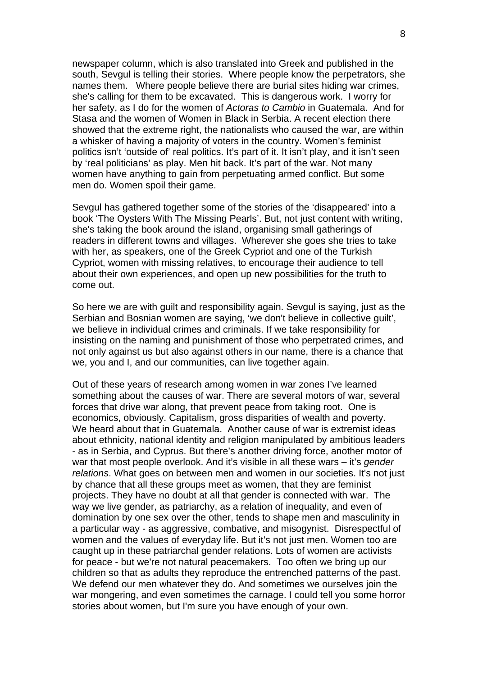newspaper column, which is also translated into Greek and published in the south, Sevgul is telling their stories. Where people know the perpetrators, she names them. Where people believe there are burial sites hiding war crimes, she's calling for them to be excavated. This is dangerous work. I worry for her safety, as I do for the women of *Actoras to Cambio* in Guatemala. And for Stasa and the women of Women in Black in Serbia. A recent election there showed that the extreme right, the nationalists who caused the war, are within a whisker of having a majority of voters in the country. Women's feminist politics isn't 'outside of' real politics. It's part of it. It isn't play, and it isn't seen by 'real politicians' as play. Men hit back. It's part of the war. Not many women have anything to gain from perpetuating armed conflict. But some men do. Women spoil their game.

Sevgul has gathered together some of the stories of the 'disappeared' into a book 'The Oysters With The Missing Pearls'. But, not just content with writing, she's taking the book around the island, organising small gatherings of readers in different towns and villages. Wherever she goes she tries to take with her, as speakers, one of the Greek Cypriot and one of the Turkish Cypriot, women with missing relatives, to encourage their audience to tell about their own experiences, and open up new possibilities for the truth to come out.

So here we are with guilt and responsibility again. Sevgul is saying, just as the Serbian and Bosnian women are saying, 'we don't believe in collective guilt', we believe in individual crimes and criminals. If we take responsibility for insisting on the naming and punishment of those who perpetrated crimes, and not only against us but also against others in our name, there is a chance that we, you and I, and our communities, can live together again.

Out of these years of research among women in war zones I've learned something about the causes of war. There are several motors of war, several forces that drive war along, that prevent peace from taking root. One is economics, obviously. Capitalism, gross disparities of wealth and poverty. We heard about that in Guatemala. Another cause of war is extremist ideas about ethnicity, national identity and religion manipulated by ambitious leaders - as in Serbia, and Cyprus. But there's another driving force, another motor of war that most people overlook. And it's visible in all these wars – it's *gender relations*. What goes on between men and women in our societies. It's not just by chance that all these groups meet as women, that they are feminist projects. They have no doubt at all that gender is connected with war. The way we live gender, as patriarchy, as a relation of inequality, and even of domination by one sex over the other, tends to shape men and masculinity in a particular way - as aggressive, combative, and misogynist. Disrespectful of women and the values of everyday life. But it's not just men. Women too are caught up in these patriarchal gender relations. Lots of women are activists for peace - but we're not natural peacemakers. Too often we bring up our children so that as adults they reproduce the entrenched patterns of the past. We defend our men whatever they do. And sometimes we ourselves join the war mongering, and even sometimes the carnage. I could tell you some horror stories about women, but I'm sure you have enough of your own.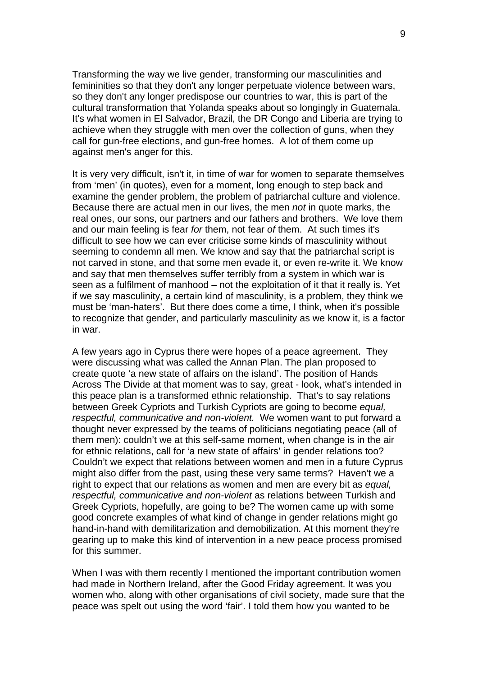Transforming the way we live gender, transforming our masculinities and femininities so that they don't any longer perpetuate violence between wars, so they don't any longer predispose our countries to war, this is part of the cultural transformation that Yolanda speaks about so longingly in Guatemala. It's what women in El Salvador, Brazil, the DR Congo and Liberia are trying to achieve when they struggle with men over the collection of guns, when they call for gun-free elections, and gun-free homes. A lot of them come up against men's anger for this.

It is very very difficult, isn't it, in time of war for women to separate themselves from 'men' (in quotes), even for a moment, long enough to step back and examine the gender problem, the problem of patriarchal culture and violence. Because there are actual men in our lives, the men *not* in quote marks, the real ones, our sons, our partners and our fathers and brothers. We love them and our main feeling is fear *for* them, not fear *of* them. At such times it's difficult to see how we can ever criticise some kinds of masculinity without seeming to condemn all men. We know and say that the patriarchal script is not carved in stone, and that some men evade it, or even re-write it. We know and say that men themselves suffer terribly from a system in which war is seen as a fulfilment of manhood – not the exploitation of it that it really is. Yet if we say masculinity, a certain kind of masculinity, is a problem, they think we must be 'man-haters'. But there does come a time, I think, when it's possible to recognize that gender, and particularly masculinity as we know it, is a factor in war.

A few years ago in Cyprus there were hopes of a peace agreement. They were discussing what was called the Annan Plan. The plan proposed to create quote 'a new state of affairs on the island'. The position of Hands Across The Divide at that moment was to say, great - look, what's intended in this peace plan is a transformed ethnic relationship. That's to say relations between Greek Cypriots and Turkish Cypriots are going to become *equal, respectful, communicative and non-violent.* We women want to put forward a thought never expressed by the teams of politicians negotiating peace (all of them men): couldn't we at this self-same moment, when change is in the air for ethnic relations, call for 'a new state of affairs' in gender relations too? Couldn't we expect that relations between women and men in a future Cyprus might also differ from the past, using these very same terms? Haven't we a right to expect that our relations as women and men are every bit as *equal, respectful, communicative and non-violent* as relations between Turkish and Greek Cypriots, hopefully, are going to be? The women came up with some good concrete examples of what kind of change in gender relations might go hand-in-hand with demilitarization and demobilization. At this moment they're gearing up to make this kind of intervention in a new peace process promised for this summer.

When I was with them recently I mentioned the important contribution women had made in Northern Ireland, after the Good Friday agreement. It was you women who, along with other organisations of civil society, made sure that the peace was spelt out using the word 'fair'. I told them how you wanted to be